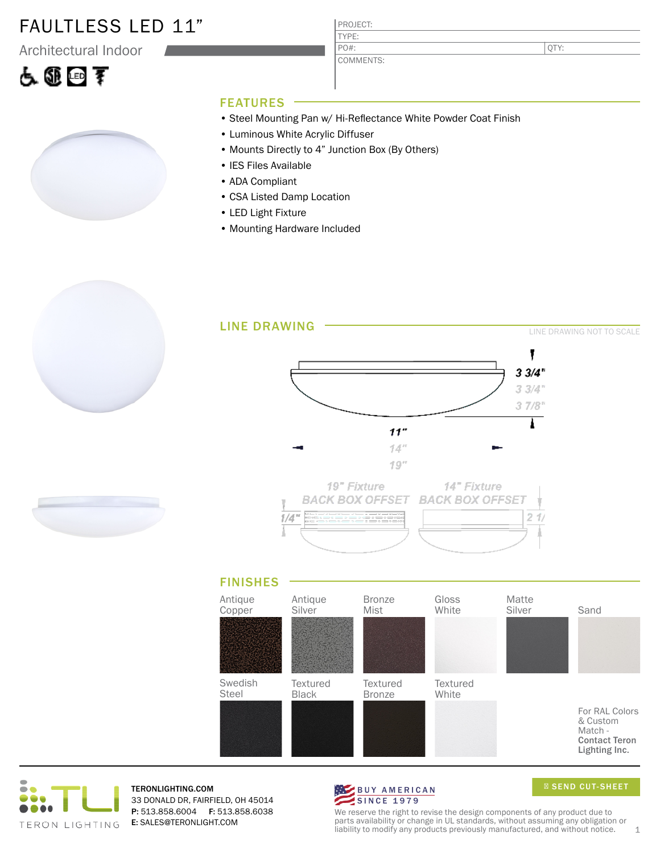### FAULTLESS LED 11"

Architectural Indoor





| PROJECT: |  |
|----------|--|
| л.       |  |
|          |  |

COMMENTS: PO#:

PRO.

QTY:

#### FEATURES

- Steel Mounting Pan w/ Hi-Reflectance White Powder Coat Finish
- Luminous White Acrylic Diffuser
- Mounts Directly to 4" Junction Box (By Others)
- IES Files Available
- ADA Compliant
- CSA Listed Damp Location
- LED Light Fixture
- Mounting Hardware Included





TERONLIGHTING.COM 33 DONALD DR, FAIRFIELD, OH 45014 P: 513.858.6004 F: 513.858.6038 E: SALES@TERONLIGHT.COM



SEND CUT-SHEET

We reserve the right to revise the design components of any product due to parts availability or change in UL standards, without assuming any obligation or liability to modify any products previously manufactured, and without notice.  $1$